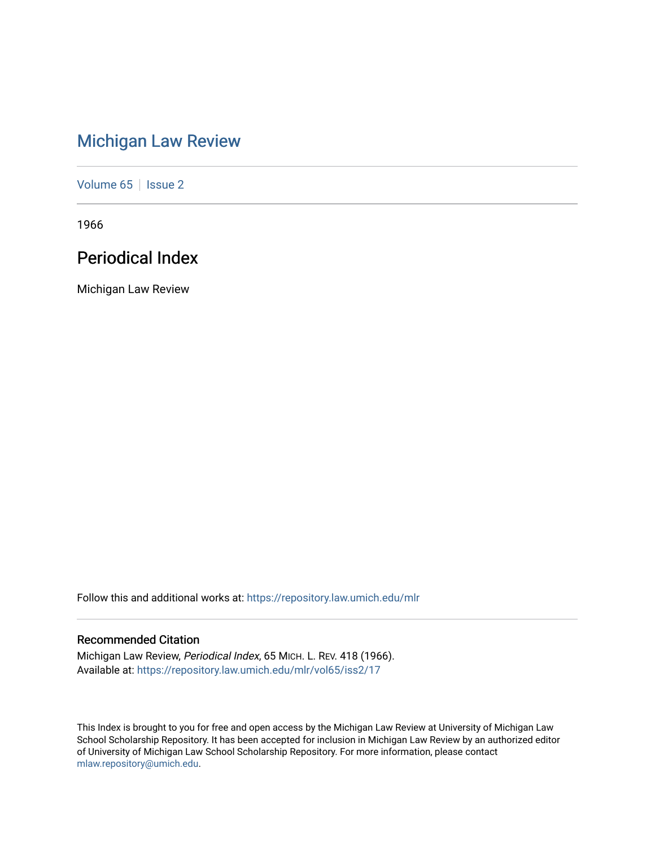# [Michigan Law Review](https://repository.law.umich.edu/mlr)

[Volume 65](https://repository.law.umich.edu/mlr/vol65) | [Issue 2](https://repository.law.umich.edu/mlr/vol65/iss2)

1966

# Periodical Index

Michigan Law Review

Follow this and additional works at: [https://repository.law.umich.edu/mlr](https://repository.law.umich.edu/mlr?utm_source=repository.law.umich.edu%2Fmlr%2Fvol65%2Fiss2%2F17&utm_medium=PDF&utm_campaign=PDFCoverPages) 

# Recommended Citation

Michigan Law Review, Periodical Index, 65 MICH. L. REV. 418 (1966). Available at: [https://repository.law.umich.edu/mlr/vol65/iss2/17](https://repository.law.umich.edu/mlr/vol65/iss2/17?utm_source=repository.law.umich.edu%2Fmlr%2Fvol65%2Fiss2%2F17&utm_medium=PDF&utm_campaign=PDFCoverPages) 

This Index is brought to you for free and open access by the Michigan Law Review at University of Michigan Law School Scholarship Repository. It has been accepted for inclusion in Michigan Law Review by an authorized editor of University of Michigan Law School Scholarship Repository. For more information, please contact [mlaw.repository@umich.edu.](mailto:mlaw.repository@umich.edu)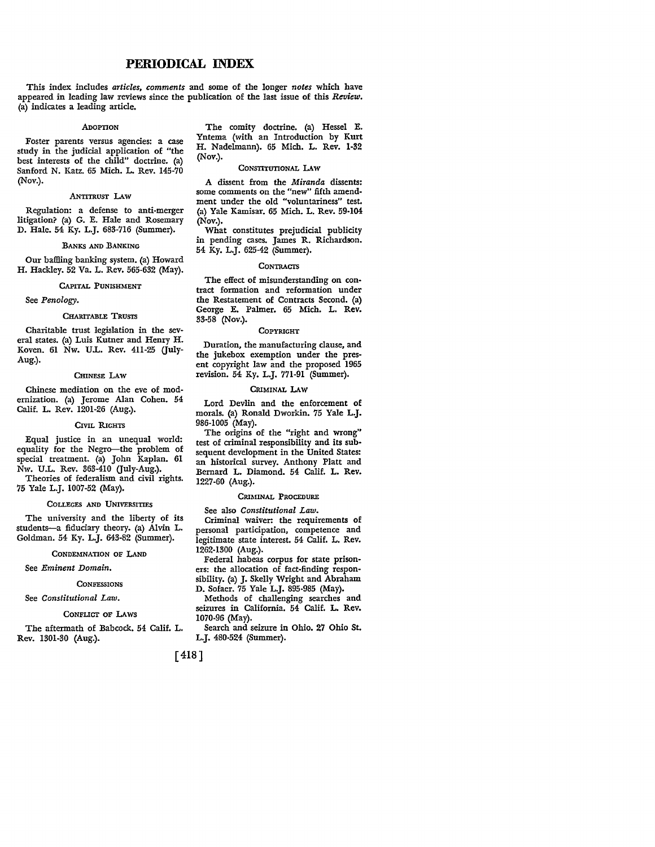# **PERIODICAL INDEX**

This index includes *articles, comments* and some of the longer *notes* which have appeared in leading law reviews since the publication of the last issue of this *Review*. (a) indicates a leading article.

#### ADoPTION

Foster parents versus agencies: a case study in the judicial application of "the best interests of the child" doctrine. (a) Sanford N. Katz. 65 Mich. L. Rev. 145-70 (Nov.).

#### .ANTITRUST LAW

Regulation: a defense to anti-merger litigation? (a) G. E. Hale and Rosemary D. Hale. 54 Ky. L.J. 683-716 (Summer).

#### BANKS AND BANKING

Our baffilng banking system. (a) Howard H. Hackley. 52 Va. L. Rev. 565-632 (May).

#### CAPITAL PUNISHMENT

See *Penology.* 

#### CHARITABLE TRUSTS

Charitable trust legislation in the several states. (a) Luis Kutner and Henry H. Koven. 61 Nw. U.L. Rev. 411-25 (July-Aug.).

#### CHINESE LAW

Chinese mediation on the eve of modernization. (a) Jerome Alan Cohen. 54 Calif. L. Rev. 1201-26 (Aug.).

#### CIVIL RIGHTS

Equal justice in an unequal world: equality for the Negro-the problem of special treatment. (a) John Kaplan. 61 Nw. U.L. Rev. 363-410 (July-Aug.). Theories of federalism and civil rights.

75 Yale L.J. 1007-52 (May).

#### COLLEGES AND UNIVERSITIES

The university and the liberty of its students-a fiduciary theory. (a) Alvin L. Goldman. 54 Ky. L.J. 643-82 (Summer).

#### CONDEMNATION OF LAND

See *Eminent Domain.* 

#### **CONFESSIONS**

See *Constitutional Law.* 

#### CONFLICT OF LAWS

The aftermath of Babcock. 54 Calif. L. Rev. 1301-30 (Aug.).

The comity doctrine. (a) Hessel E. Yntema (with an Introduction by Kurt H. Nadelmann). 65 Mich. L. Rev. 1·32 (Nov.).

#### CONSTITUTIONAL LAW

A dissent from the *Miranda* dissents: some comments on the "new" fifth amendment under the old "voluntariness" test. (a) Yale Kamisar. 65 Mich. L. Rev. 59-104 (Nov.).

What constitutes prejudicial publicity in pending cases. James R. Richardson. 54 Ky. L.J. 625-42 (Summer).

#### **CONTRACTS**

The effect of misunderstanding on contract formation and reformation under the Restatement of Contracts Second. (a) George E. Palmer. 65 Mich. L. **Rev.**  33-58 (Nov.).

#### COPYRIGHT

Duration, the manufacturing clause, and the jukebox exemption under the pres• ent copyright law and the proposed 1965 revision. 54 Ky. L.J. 771-91 (Summer).

#### CRIMINAL LAW

Lord Devlin and the enforcement of morals. (a) Ronald Dworkin. 75 Yale L.J. 986-1005 (May).

The origins of the "right and wrong" test of criminal responsibility and its sub• sequent development in the United States: an historical survey. Anthony Platt and .Bernard L. Diamond. 54 Calif. L. Rev. 1227-60 (Aug.).

#### CRIMINAL PROCEDURE

See also *Constitutional Law.*  Criminal waiver: the requirements of personal participation, competence and legitimate state interest. 54 Calif. L. **Rev.**  1262-1300 (Aug.).

Federal habeas corpus for state prison• ers: the allocation of fact-finding responsibility. (a) J. Skelly Wright and Abraham D. Sofaer. 75 Yale L.J. 895-985 (May).

Methods of challenging searches and seizures in California. 54 Calif. L. Rev. 1070-96 (May).

Search and seizure in Ohio. 27 Ohio St. L.J. 480-524 (Summer).

[418]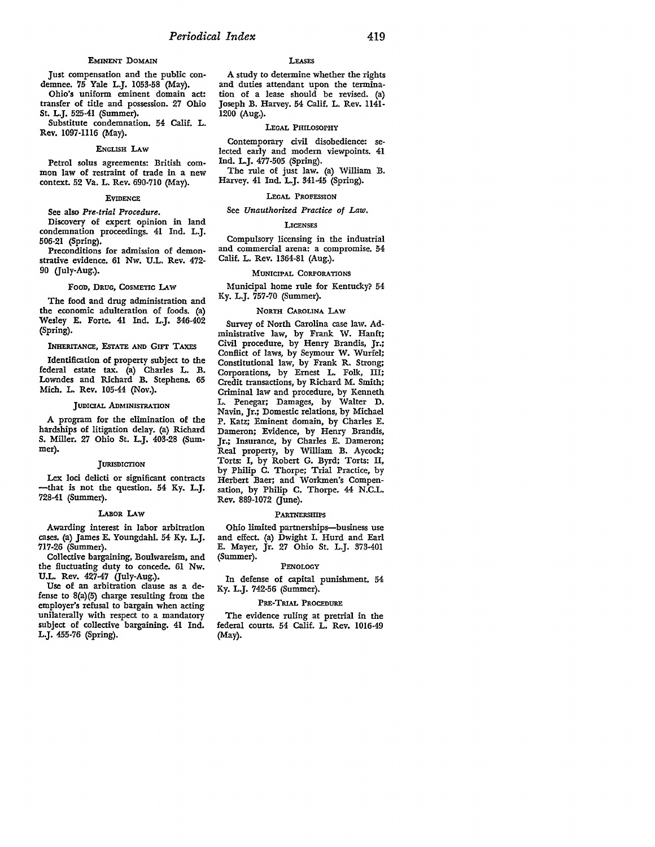#### EMINENT DOMAIN

Just compensation and the public condemnee. 75 Yale L.J. 1053-58 (May).

Ohio's uniform eminent domain act: transfer of title and possession. 27 Ohio St. L.J. 525-41 (Summer).

Substitute condemnation. 54 Calif. L. Rev. 1097-1116 (May).

#### ENGLISH LAW

Petrol solus agreements: British common law of restraint of trade in a new context. 52 Va. L. Rev. 690-710 (May).

#### EVIDENCE

See also *Pre-trial Procedure.* 

Discovery of expert opinion in land condemnation proceedings. 41 Ind. L.J. 506-21 (Spring).

Preconditions for admission of demonstrative evidence. 61 Nw. U.L. Rev. 472- 90 (July-Aug.).

#### Foon, DRUG, COSMETIC LAW

The food and drug administration and the economic adulteration of foods. (a) Wesley E. Forte. 41 Ind. L.J. 346-402 (Spring).

#### INHERITANCE, ESTATE AND GIFT TAXES

Identification of property subject to the federal estate tax. (a) Charles L. B. Lowndes and Richard B. Stephens. 65 Mich. L. Rev. 105-44 (Nov.).

#### JUDICIAL ADMINISTRATION

A program for the elimination of the hardships of litigation delay. (a) Richard S. Miller. 27 Ohio St. L.J. 403-28 (Summer).

#### **JURISDICTION**

Lex loci delicti or significant contracts -that is not the question. 54 Ky. L.J. 728-41 (Summer).

#### LABOR LAW

Awarding interest in labor arbitration cases. (a) James E. Youngdahl. 54 Ky. L.J. 717-26 (Summer).

Collective bargaining, Boulwareism, and the fluctuating duty to concede. 61 Nw. U.L. Rev. 427-47 Guly-Aug.).

Use of an arbitration clause as a defense to 8(a)(5) charge resulting from the employer's refusal to bargain when acting unilaterally with respect to a mandatory subject of collective bargaining. 41 Ind. L.J. 455-76 (Spring).

#### **LEASES**

A study to determine whether the rights and duties attendant upon the termination of a lease should be revised. (a) Joseph B. Harvey. 54 Calif. L. Rev. 1141- 1200 (Aug.).

#### LEGAL PHILOSOPHY

Contemporary civil disobedience: selected early and modem viewpoints. 41 Ind. L.J. 477-505 (Spring).

The rule of just law. (a) William B. Harvey. 41 Ind. L.J. 341-45 (Spring).

#### LEGAL PROFESSION

#### See *Unauthorized Practice of Law.*

#### LICENSES

Compulsory licensing in the industrial and commercial arena: a compromise. 54 Calif. L. Rev. 1364-81 (Aug.).

#### MUNICIPAL CORPORATIONS

Municipal home rule for Kentucky? 54 Ky. L.J. 757-70 (Summer).

#### NORTH CAROLINA LAW

Survey of North Carolina case law. Administrative law, by Frank W. Hanft; Civil procedure, by Henry Brandis, Jr.; Conflict of laws, by Seymour W. Wurfel; Constitutional law, by Frank R. Strong; Corporations, by Ernest L. Folk, III; Credit transactions, by Richard M. Smith; Criminal law and procedure, by Kenneth L. Penegar; Damages, by Walter D. Navin, Jr.; Domestic relations, by Michael P. Katz; Eminent domain, by Charles E. Dameron; Evidence, by Henry Brandis, Jr.; Insurance, by Charles E. Dameron; Real property, by William B. Aycock; Torts: I, by Robert G. Byrd; Torts: II, by Philip C. Thorpe; Trial Practice, by Herbert Baer; and Workmen's Compensation, by Philip C. Thorpe. 44 N.C.L. Rev. 889-1072 (June).

#### **PARTNERSHIPS**

Ohio limited partnerships-business use and effect. (a) Dwight I. Hurd and Earl E. Mayer, Jr. 27 Ohio St. L.J. 373-401 (Summer).

#### PENOLOGY

In defense of capital punishment. 54 Ky. L.J. 742-56 (Summer).

#### PRE-TRIAL PROCEDURE

The evidence ruling at pretrial in the federal courts. 54 Calif. L. Rev. 1016-49 (May).